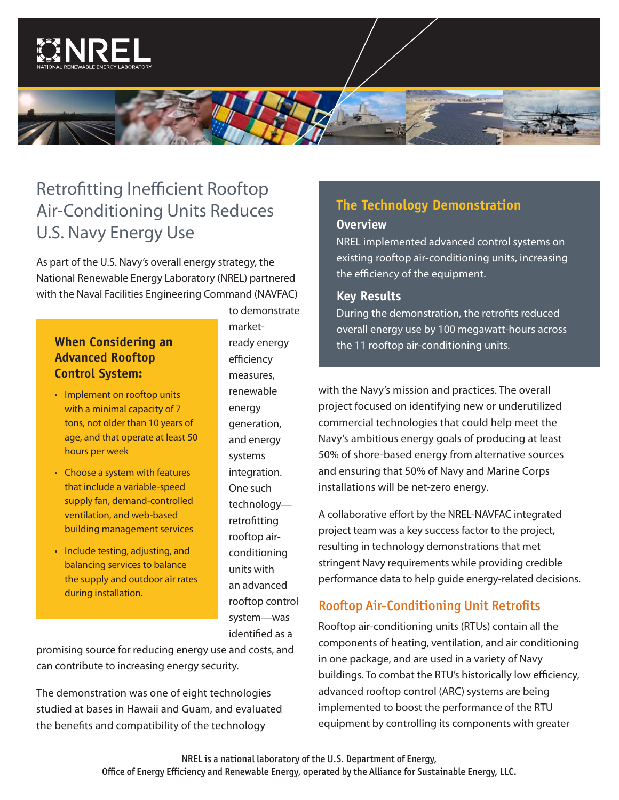



## Retrofitting Inefficient Rooftop Air-Conditioning Units Reduces U.S. Navy Energy Use

As part of the U.S. Navy's overall energy strategy, the National Renewable Energy Laboratory (NREL) partnered with the Naval Facilities Engineering Command (NAVFAC)

# **Advanced Rooftop Control System:**

- Implement on rooftop units with a minimal capacity of 7 tons, not older than 10 years of age, and that operate at least 50 hours per week
- Choose a system with features that include a variable-speed supply fan, demand-controlled ventilation, and web-based building management services
- Include testing, adjusting, and balancing services to balance the supply and outdoor air rates during installation.

to demonstrate marketready energy efficiency measures, renewable energy generation, and energy systems integration. One such technology retrofitting rooftop airconditioning units with an advanced rooftop control system—was identified as a

promising source for reducing energy use and costs, and can contribute to increasing energy security.

The demonstration was one of eight technologies studied at bases in Hawaii and Guam, and evaluated the benefits and compatibility of the technology

## **The Technology Demonstration**

#### **Overview**

NREL implemented advanced control systems on existing rooftop air-conditioning units, increasing the efficiency of the equipment.

#### **Key Results**

During the demonstration, the retrofits reduced overall energy use by 100 megawatt-hours across **When Considering an the 11 rooftop air-conditioning units.** 

> with the Navy's mission and practices. The overall project focused on identifying new or underutilized commercial technologies that could help meet the Navy's ambitious energy goals of producing at least 50% of shore-based energy from alternative sources and ensuring that 50% of Navy and Marine Corps installations will be net-zero energy.

A collaborative effort by the NREL-NAVFAC integrated project team was a key success factor to the project, resulting in technology demonstrations that met stringent Navy requirements while providing credible performance data to help guide energy-related decisions.

### Rooftop Air-Conditioning Unit Retrofits

Rooftop air-conditioning units (RTUs) contain all the components of heating, ventilation, and air conditioning in one package, and are used in a variety of Navy buildings. To combat the RTU's historically low efficiency, advanced rooftop control (ARC) systems are being implemented to boost the performance of the RTU equipment by controlling its components with greater